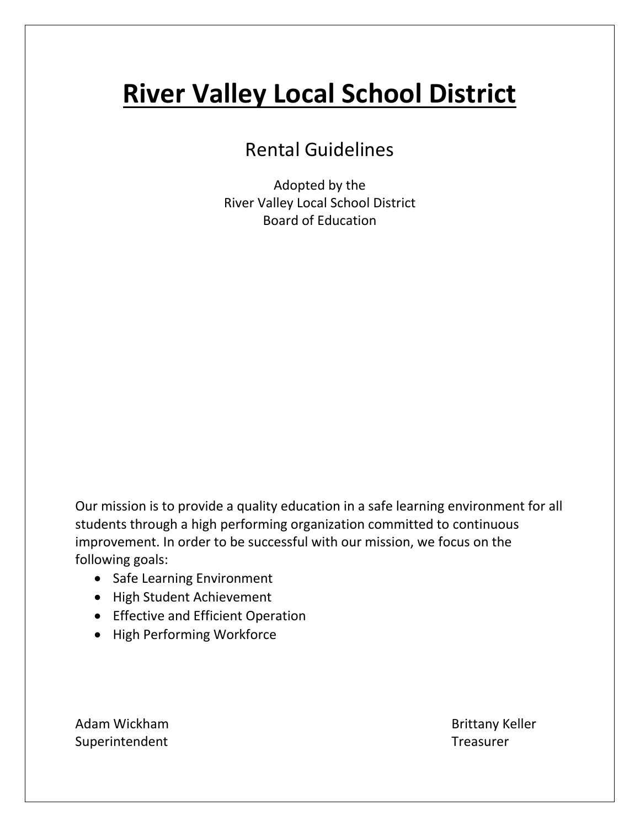# **River Valley Local School District**

# Rental Guidelines

Adopted by the River Valley Local School District Board of Education

Our mission is to provide a quality education in a safe learning environment for all students through a high performing organization committed to continuous improvement. In order to be successful with our mission, we focus on the following goals:

- Safe Learning Environment
- High Student Achievement
- Effective and Efficient Operation
- High Performing Workforce

Adam Wickham **Brittany Keller** Superintendent Treasurer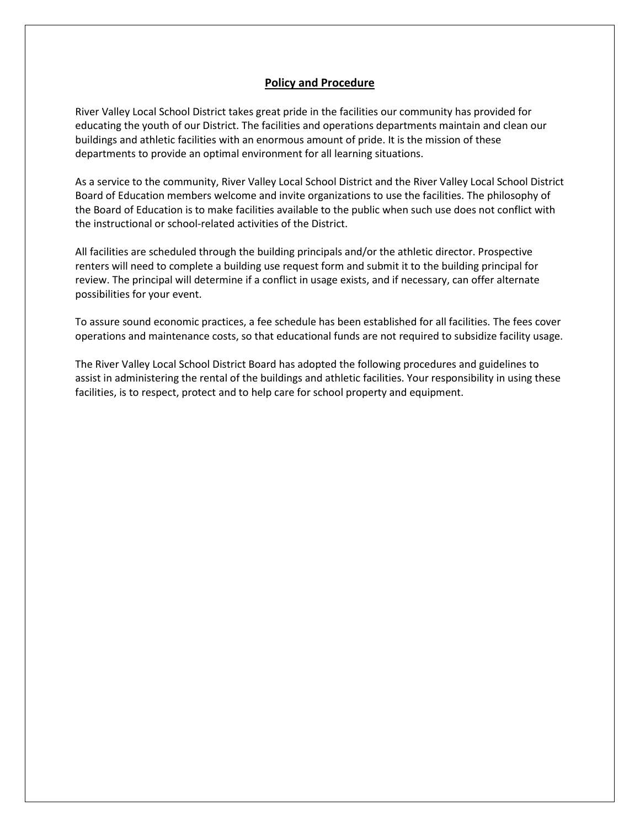#### **Policy and Procedure**

River Valley Local School District takes great pride in the facilities our community has provided for educating the youth of our District. The facilities and operations departments maintain and clean our buildings and athletic facilities with an enormous amount of pride. It is the mission of these departments to provide an optimal environment for all learning situations.

As a service to the community, River Valley Local School District and the River Valley Local School District Board of Education members welcome and invite organizations to use the facilities. The philosophy of the Board of Education is to make facilities available to the public when such use does not conflict with the instructional or school-related activities of the District.

All facilities are scheduled through the building principals and/or the athletic director. Prospective renters will need to complete a building use request form and submit it to the building principal for review. The principal will determine if a conflict in usage exists, and if necessary, can offer alternate possibilities for your event.

To assure sound economic practices, a fee schedule has been established for all facilities. The fees cover operations and maintenance costs, so that educational funds are not required to subsidize facility usage.

The River Valley Local School District Board has adopted the following procedures and guidelines to assist in administering the rental of the buildings and athletic facilities. Your responsibility in using these facilities, is to respect, protect and to help care for school property and equipment.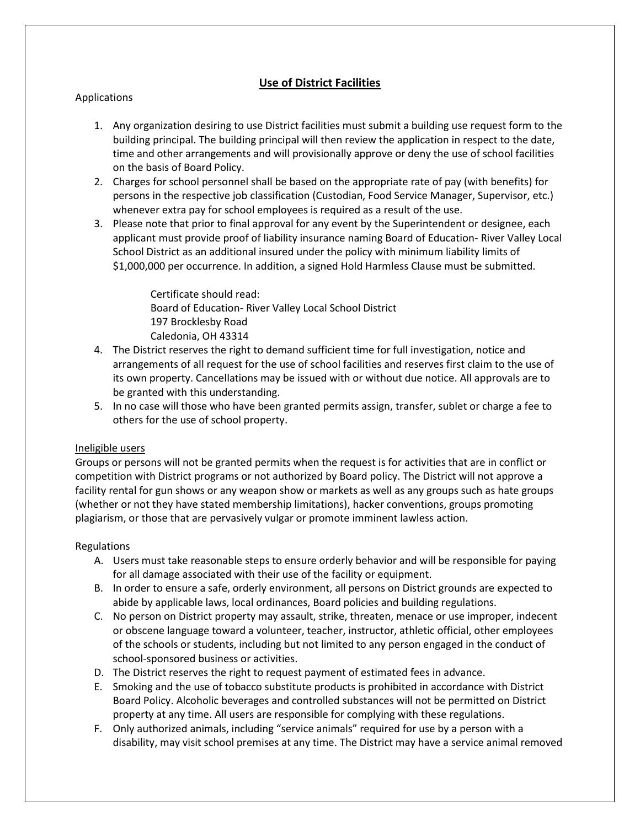# **Use of District Facilities**

#### Applications

- 1. Any organization desiring to use District facilities must submit a building use request form to the building principal. The building principal will then review the application in respect to the date, time and other arrangements and will provisionally approve or deny the use of school facilities on the basis of Board Policy.
- 2. Charges for school personnel shall be based on the appropriate rate of pay (with benefits) for persons in the respective job classification (Custodian, Food Service Manager, Supervisor, etc.) whenever extra pay for school employees is required as a result of the use.
- 3. Please note that prior to final approval for any event by the Superintendent or designee, each applicant must provide proof of liability insurance naming Board of Education- River Valley Local School District as an additional insured under the policy with minimum liability limits of \$1,000,000 per occurrence. In addition, a signed Hold Harmless Clause must be submitted.

Certificate should read: Board of Education- River Valley Local School District 197 Brocklesby Road Caledonia, OH 43314

- 4. The District reserves the right to demand sufficient time for full investigation, notice and arrangements of all request for the use of school facilities and reserves first claim to the use of its own property. Cancellations may be issued with or without due notice. All approvals are to be granted with this understanding.
- 5. In no case will those who have been granted permits assign, transfer, sublet or charge a fee to others for the use of school property.

#### Ineligible users

Groups or persons will not be granted permits when the request is for activities that are in conflict or competition with District programs or not authorized by Board policy. The District will not approve a facility rental for gun shows or any weapon show or markets as well as any groups such as hate groups (whether or not they have stated membership limitations), hacker conventions, groups promoting plagiarism, or those that are pervasively vulgar or promote imminent lawless action.

#### Regulations

- A. Users must take reasonable steps to ensure orderly behavior and will be responsible for paying for all damage associated with their use of the facility or equipment.
- B. In order to ensure a safe, orderly environment, all persons on District grounds are expected to abide by applicable laws, local ordinances, Board policies and building regulations.
- C. No person on District property may assault, strike, threaten, menace or use improper, indecent or obscene language toward a volunteer, teacher, instructor, athletic official, other employees of the schools or students, including but not limited to any person engaged in the conduct of school-sponsored business or activities.
- D. The District reserves the right to request payment of estimated fees in advance.
- E. Smoking and the use of tobacco substitute products is prohibited in accordance with District Board Policy. Alcoholic beverages and controlled substances will not be permitted on District property at any time. All users are responsible for complying with these regulations.
- F. Only authorized animals, including "service animals" required for use by a person with a disability, may visit school premises at any time. The District may have a service animal removed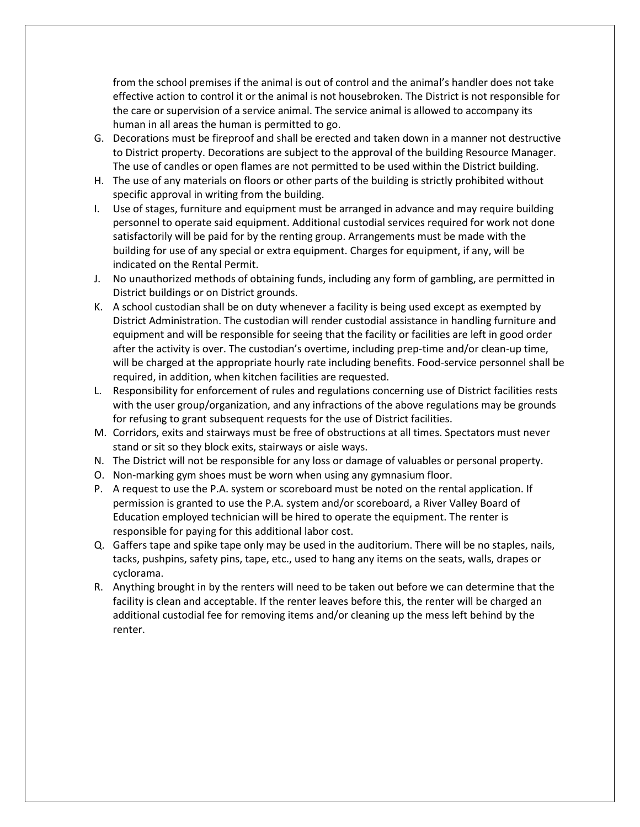from the school premises if the animal is out of control and the animal's handler does not take effective action to control it or the animal is not housebroken. The District is not responsible for the care or supervision of a service animal. The service animal is allowed to accompany its human in all areas the human is permitted to go.

- G. Decorations must be fireproof and shall be erected and taken down in a manner not destructive to District property. Decorations are subject to the approval of the building Resource Manager. The use of candles or open flames are not permitted to be used within the District building.
- H. The use of any materials on floors or other parts of the building is strictly prohibited without specific approval in writing from the building.
- I. Use of stages, furniture and equipment must be arranged in advance and may require building personnel to operate said equipment. Additional custodial services required for work not done satisfactorily will be paid for by the renting group. Arrangements must be made with the building for use of any special or extra equipment. Charges for equipment, if any, will be indicated on the Rental Permit.
- J. No unauthorized methods of obtaining funds, including any form of gambling, are permitted in District buildings or on District grounds.
- K. A school custodian shall be on duty whenever a facility is being used except as exempted by District Administration. The custodian will render custodial assistance in handling furniture and equipment and will be responsible for seeing that the facility or facilities are left in good order after the activity is over. The custodian's overtime, including prep-time and/or clean-up time, will be charged at the appropriate hourly rate including benefits. Food-service personnel shall be required, in addition, when kitchen facilities are requested.
- L. Responsibility for enforcement of rules and regulations concerning use of District facilities rests with the user group/organization, and any infractions of the above regulations may be grounds for refusing to grant subsequent requests for the use of District facilities.
- M. Corridors, exits and stairways must be free of obstructions at all times. Spectators must never stand or sit so they block exits, stairways or aisle ways.
- N. The District will not be responsible for any loss or damage of valuables or personal property.
- O. Non-marking gym shoes must be worn when using any gymnasium floor.
- P. A request to use the P.A. system or scoreboard must be noted on the rental application. If permission is granted to use the P.A. system and/or scoreboard, a River Valley Board of Education employed technician will be hired to operate the equipment. The renter is responsible for paying for this additional labor cost.
- Q. Gaffers tape and spike tape only may be used in the auditorium. There will be no staples, nails, tacks, pushpins, safety pins, tape, etc., used to hang any items on the seats, walls, drapes or cyclorama.
- R. Anything brought in by the renters will need to be taken out before we can determine that the facility is clean and acceptable. If the renter leaves before this, the renter will be charged an additional custodial fee for removing items and/or cleaning up the mess left behind by the renter.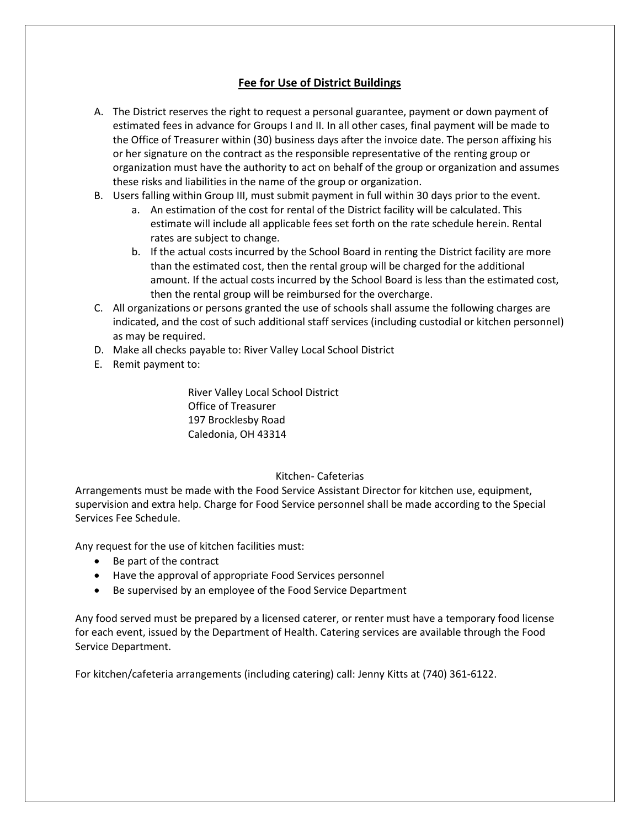# **Fee for Use of District Buildings**

- A. The District reserves the right to request a personal guarantee, payment or down payment of estimated fees in advance for Groups I and II. In all other cases, final payment will be made to the Office of Treasurer within (30) business days after the invoice date. The person affixing his or her signature on the contract as the responsible representative of the renting group or organization must have the authority to act on behalf of the group or organization and assumes these risks and liabilities in the name of the group or organization.
- B. Users falling within Group III, must submit payment in full within 30 days prior to the event.
	- a. An estimation of the cost for rental of the District facility will be calculated. This estimate will include all applicable fees set forth on the rate schedule herein. Rental rates are subject to change.
	- b. If the actual costs incurred by the School Board in renting the District facility are more than the estimated cost, then the rental group will be charged for the additional amount. If the actual costs incurred by the School Board is less than the estimated cost, then the rental group will be reimbursed for the overcharge.
- C. All organizations or persons granted the use of schools shall assume the following charges are indicated, and the cost of such additional staff services (including custodial or kitchen personnel) as may be required.
- D. Make all checks payable to: River Valley Local School District
- E. Remit payment to:

River Valley Local School District Office of Treasurer 197 Brocklesby Road Caledonia, OH 43314

#### Kitchen- Cafeterias

Arrangements must be made with the Food Service Assistant Director for kitchen use, equipment, supervision and extra help. Charge for Food Service personnel shall be made according to the Special Services Fee Schedule.

Any request for the use of kitchen facilities must:

- Be part of the contract
- Have the approval of appropriate Food Services personnel
- Be supervised by an employee of the Food Service Department

Any food served must be prepared by a licensed caterer, or renter must have a temporary food license for each event, issued by the Department of Health. Catering services are available through the Food Service Department.

For kitchen/cafeteria arrangements (including catering) call: Jenny Kitts at (740) 361-6122.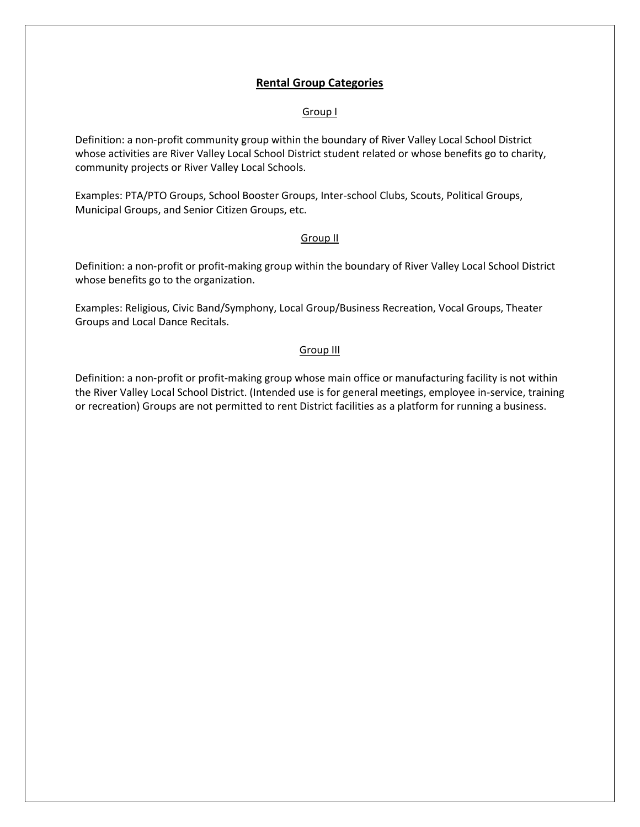### **Rental Group Categories**

#### Group I

Definition: a non-profit community group within the boundary of River Valley Local School District whose activities are River Valley Local School District student related or whose benefits go to charity, community projects or River Valley Local Schools.

Examples: PTA/PTO Groups, School Booster Groups, Inter-school Clubs, Scouts, Political Groups, Municipal Groups, and Senior Citizen Groups, etc.

#### Group II

Definition: a non-profit or profit-making group within the boundary of River Valley Local School District whose benefits go to the organization.

Examples: Religious, Civic Band/Symphony, Local Group/Business Recreation, Vocal Groups, Theater Groups and Local Dance Recitals.

#### Group III

Definition: a non-profit or profit-making group whose main office or manufacturing facility is not within the River Valley Local School District. (Intended use is for general meetings, employee in-service, training or recreation) Groups are not permitted to rent District facilities as a platform for running a business.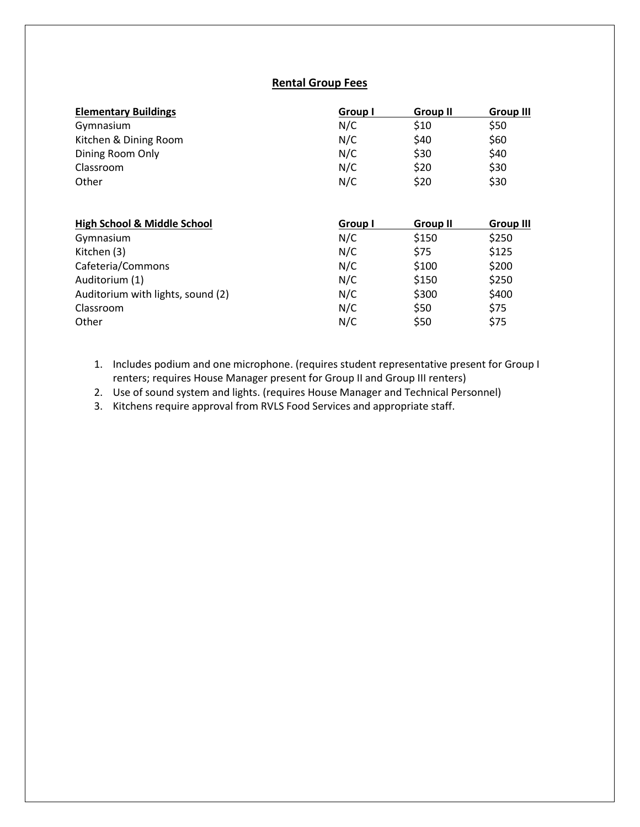# **Rental Group Fees**

| <b>Elementary Buildings</b>            | Group I        | <b>Group II</b> | Group III        |
|----------------------------------------|----------------|-----------------|------------------|
| Gymnasium                              | N/C            | \$10            | \$50             |
| Kitchen & Dining Room                  | N/C            | \$40            | \$60             |
| Dining Room Only                       | N/C            | \$30            | \$40             |
| Classroom                              | N/C            | \$20            | \$30             |
| Other                                  | N/C            | \$20            | \$30             |
|                                        |                |                 |                  |
|                                        |                |                 |                  |
| <b>High School &amp; Middle School</b> | <b>Group I</b> | <b>Group II</b> | <b>Group III</b> |
| Gymnasium                              | N/C            | \$150           | \$250            |
| Kitchen (3)                            | N/C            | \$75            | \$125            |
| Cafeteria/Commons                      | N/C            | \$100           | \$200            |
| Auditorium (1)                         | N/C            | \$150           | \$250            |
| Auditorium with lights, sound (2)      | N/C            | \$300           | \$400            |
| Classroom                              | N/C            | \$50            | \$75             |

- 1. Includes podium and one microphone. (requires student representative present for Group I renters; requires House Manager present for Group II and Group III renters)
- 2. Use of sound system and lights. (requires House Manager and Technical Personnel)
- 3. Kitchens require approval from RVLS Food Services and appropriate staff.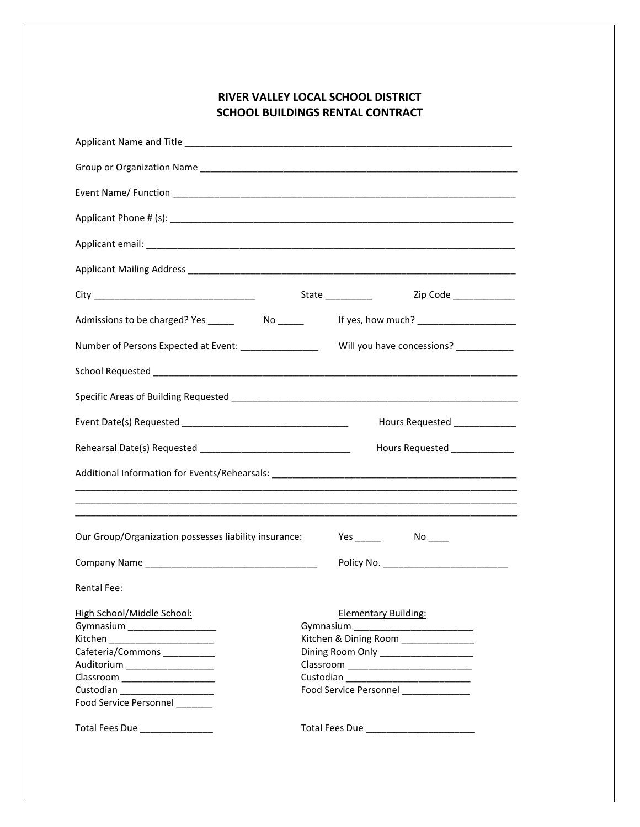# **RIVER VALLEY LOCAL SCHOOL DISTRICT SCHOOL BUILDINGS RENTAL CONTRACT**

|                                                                                                                                                                                                                                                                           | If yes, how much? ______________________                                                                                                            |  |  |  |
|---------------------------------------------------------------------------------------------------------------------------------------------------------------------------------------------------------------------------------------------------------------------------|-----------------------------------------------------------------------------------------------------------------------------------------------------|--|--|--|
| Number of Persons Expected at Event: ________________                                                                                                                                                                                                                     | Will you have concessions? __________                                                                                                               |  |  |  |
|                                                                                                                                                                                                                                                                           |                                                                                                                                                     |  |  |  |
|                                                                                                                                                                                                                                                                           |                                                                                                                                                     |  |  |  |
|                                                                                                                                                                                                                                                                           | Hours Requested ____________                                                                                                                        |  |  |  |
|                                                                                                                                                                                                                                                                           | Hours Requested ______________                                                                                                                      |  |  |  |
|                                                                                                                                                                                                                                                                           |                                                                                                                                                     |  |  |  |
|                                                                                                                                                                                                                                                                           |                                                                                                                                                     |  |  |  |
| Our Group/Organization possesses liability insurance:                                                                                                                                                                                                                     |                                                                                                                                                     |  |  |  |
|                                                                                                                                                                                                                                                                           |                                                                                                                                                     |  |  |  |
| Rental Fee:                                                                                                                                                                                                                                                               |                                                                                                                                                     |  |  |  |
| High School/Middle School:<br>Gymnasium _____________________<br>Kitchen ______________________<br>Cafeteria/Commons __________<br>Auditorium ____________________<br>Classroom _____________________<br>Custodian ____________________<br>Food Service Personnel _______ | <b>Elementary Building:</b><br>Kitchen & Dining Room _____________<br>Dining Room Only _____________________<br>Food Service Personnel ____________ |  |  |  |
| Total Fees Due _______________                                                                                                                                                                                                                                            | Total Fees Due _________________________                                                                                                            |  |  |  |